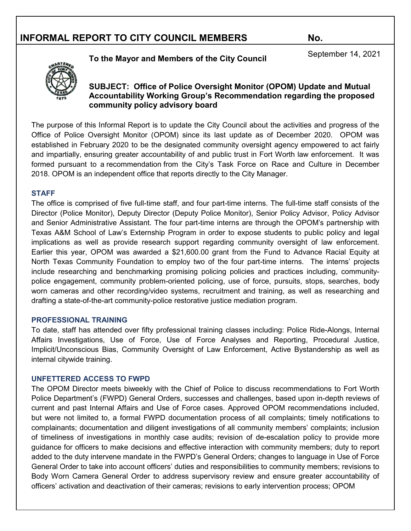# **To the Mayor and Members of the City Council** September 14, 2021



#### **SUBJECT: Office of Police Oversight Monitor (OPOM) Update and Mutual Accountability Working Group's Recommendation regarding the proposed community policy advisory board**

The purpose of this Informal Report is to update the City Council about the activities and progress of the Office of Police Oversight Monitor (OPOM) since its last update as of December 2020. OPOM was established in February 2020 to be the designated community oversight agency empowered to act fairly and impartially, ensuring greater accountability of and public trust in Fort Worth law enforcement. It was formed pursuant to a recommendation from the City's Task Force on Race and Culture in December 2018. OPOM is an independent office that reports directly to the City Manager.

#### **STAFF**

The office is comprised of five full-time staff, and four part-time interns. The full-time staff consists of the Director (Police Monitor), Deputy Director (Deputy Police Monitor), Senior Policy Advisor, Policy Advisor and Senior Administrative Assistant. The four part-time interns are through the OPOM's partnership with Texas A&M School of Law's Externship Program in order to expose students to public policy and legal implications as well as provide research support regarding community oversight of law enforcement. Earlier this year, OPOM was awarded a \$21,600.00 grant from the Fund to Advance Racial Equity at North Texas Community Foundation to employ two of the four part-time interns. The interns' projects include researching and benchmarking promising policing policies and practices including, communitypolice engagement, community problem-oriented policing, use of force, pursuits, stops, searches, body worn cameras and other recording/video systems, recruitment and training, as well as researching and drafting a state-of-the-art community-police restorative justice mediation program.

#### **PROFESSIONAL TRAINING**

To date, staff has attended over fifty professional training classes including: Police Ride-Alongs, Internal Affairs Investigations, Use of Force, Use of Force Analyses and Reporting, Procedural Justice, Implicit/Unconscious Bias, Community Oversight of Law Enforcement, Active Bystandership as well as internal citywide training.

#### **UNFETTERED ACCESS TO FWPD**

The OPOM Director meets biweekly with the Chief of Police to discuss recommendations to Fort Worth Police Department's (FWPD) General Orders, successes and challenges, based upon in-depth reviews of current and past Internal Affairs and Use of Force cases. Approved OPOM recommendations included, but were not limited to, a formal FWPD documentation process of all complaints; timely notifications to complainants; documentation and diligent investigations of all community members' complaints; inclusion of timeliness of investigations in monthly case audits; revision of de-escalation policy to provide more guidance for officers to make decisions and effective interaction with community members; duty to report added to the duty intervene mandate in the FWPD's General Orders; changes to language in Use of Force General Order to take into account officers' duties and responsibilities to community members; revisions to Body Worn Camera General Order to address supervisory review and ensure greater accountability of officers' activation and deactivation of their cameras; revisions to early intervention process; OPOM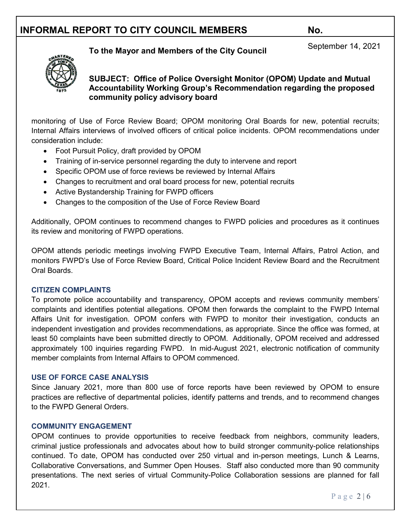# **To the Mayor and Members of the City Council** September 14, 2021



#### **SUBJECT: Office of Police Oversight Monitor (OPOM) Update and Mutual Accountability Working Group's Recommendation regarding the proposed community policy advisory board**

monitoring of Use of Force Review Board; OPOM monitoring Oral Boards for new, potential recruits; Internal Affairs interviews of involved officers of critical police incidents. OPOM recommendations under consideration include:

- Foot Pursuit Policy, draft provided by OPOM
- Training of in-service personnel regarding the duty to intervene and report
- Specific OPOM use of force reviews be reviewed by Internal Affairs
- Changes to recruitment and oral board process for new, potential recruits
- Active Bystandership Training for FWPD officers
- Changes to the composition of the Use of Force Review Board

Additionally, OPOM continues to recommend changes to FWPD policies and procedures as it continues its review and monitoring of FWPD operations.

OPOM attends periodic meetings involving FWPD Executive Team, Internal Affairs, Patrol Action, and monitors FWPD's Use of Force Review Board, Critical Police Incident Review Board and the Recruitment Oral Boards.

#### **CITIZEN COMPLAINTS**

To promote police accountability and transparency, OPOM accepts and reviews community members' complaints and identifies potential allegations. OPOM then forwards the complaint to the FWPD Internal Affairs Unit for investigation. OPOM confers with FWPD to monitor their investigation, conducts an independent investigation and provides recommendations, as appropriate. Since the office was formed, at least 50 complaints have been submitted directly to OPOM. Additionally, OPOM received and addressed approximately 100 inquiries regarding FWPD. In mid-August 2021, electronic notification of community member complaints from Internal Affairs to OPOM commenced.

#### **USE OF FORCE CASE ANALYSIS**

Since January 2021, more than 800 use of force reports have been reviewed by OPOM to ensure practices are reflective of departmental policies, identify patterns and trends, and to recommend changes to the FWPD General Orders.

#### **COMMUNITY ENGAGEMENT**

OPOM continues to provide opportunities to receive feedback from neighbors, community leaders, criminal justice professionals and advocates about how to build stronger community-police relationships continued. To date, OPOM has conducted over 250 virtual and in-person meetings, Lunch & Learns, Collaborative Conversations, and Summer Open Houses. Staff also conducted more than 90 community presentations. The next series of virtual Community-Police Collaboration sessions are planned for fall 2021.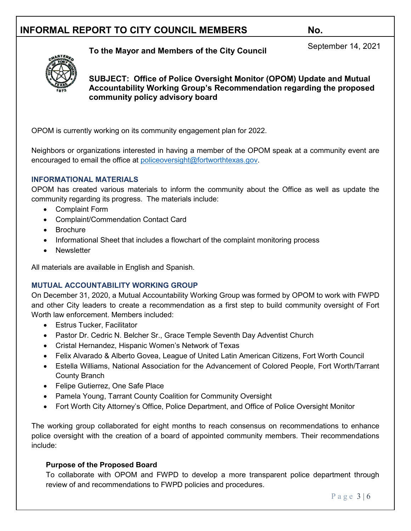# **To the Mayor and Members of the City Council** September 14, 2021



**SUBJECT: Office of Police Oversight Monitor (OPOM) Update and Mutual Accountability Working Group's Recommendation regarding the proposed community policy advisory board**

OPOM is currently working on its community engagement plan for 2022.

Neighbors or organizations interested in having a member of the OPOM speak at a community event are encouraged to email the office at [policeoversight@fortworthtexas.gov.](mailto:policeoversight@fortworthtexas.gov)

#### **INFORMATIONAL MATERIALS**

OPOM has created various materials to inform the community about the Office as well as update the community regarding its progress. The materials include:

- Complaint Form
- Complaint/Commendation Contact Card
- Brochure
- Informational Sheet that includes a flowchart of the complaint monitoring process
- Newsletter

All materials are available in English and Spanish.

#### **MUTUAL ACCOUNTABILITY WORKING GROUP**

On December 31, 2020, a Mutual Accountability Working Group was formed by OPOM to work with FWPD and other City leaders to create a recommendation as a first step to build community oversight of Fort Worth law enforcement. Members included:

- Estrus Tucker, Facilitator
- Pastor Dr. Cedric N. Belcher Sr., Grace Temple Seventh Day Adventist Church
- Cristal Hernandez, Hispanic Women's Network of Texas
- Felix Alvarado & Alberto Govea, League of United Latin American Citizens, Fort Worth Council
- Estella Williams, National Association for the Advancement of Colored People, Fort Worth/Tarrant County Branch
- Felipe Gutierrez, One Safe Place
- Pamela Young, Tarrant County Coalition for Community Oversight
- Fort Worth City Attorney's Office, Police Department, and Office of Police Oversight Monitor

The working group collaborated for eight months to reach consensus on recommendations to enhance police oversight with the creation of a board of appointed community members. Their recommendations include:

#### **Purpose of the Proposed Board**

To collaborate with OPOM and FWPD to develop a more transparent police department through review of and recommendations to FWPD policies and procedures.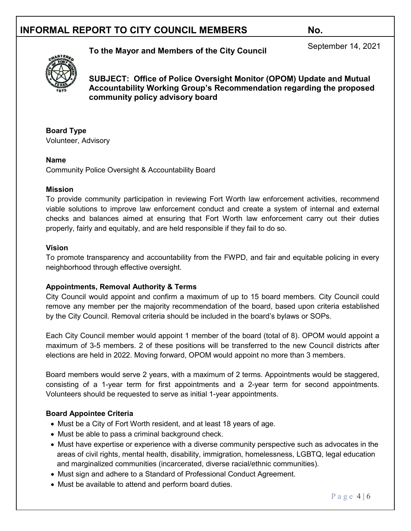# **To the Mayor and Members of the City Council** September 14, 2021



**SUBJECT: Office of Police Oversight Monitor (OPOM) Update and Mutual Accountability Working Group's Recommendation regarding the proposed community policy advisory board**

**Board Type** Volunteer, Advisory

#### **Name**

Community Police Oversight & Accountability Board

#### **Mission**

To provide community participation in reviewing Fort Worth law enforcement activities, recommend viable solutions to improve law enforcement conduct and create a system of internal and external checks and balances aimed at ensuring that Fort Worth law enforcement carry out their duties properly, fairly and equitably, and are held responsible if they fail to do so.

#### **Vision**

To promote transparency and accountability from the FWPD, and fair and equitable policing in every neighborhood through effective oversight.

#### **Appointments, Removal Authority & Terms**

City Council would appoint and confirm a maximum of up to 15 board members. City Council could remove any member per the majority recommendation of the board, based upon criteria established by the City Council. Removal criteria should be included in the board's bylaws or SOPs.

Each City Council member would appoint 1 member of the board (total of 8). OPOM would appoint a maximum of 3-5 members. 2 of these positions will be transferred to the new Council districts after elections are held in 2022. Moving forward, OPOM would appoint no more than 3 members.

Board members would serve 2 years, with a maximum of 2 terms. Appointments would be staggered, consisting of a 1-year term for first appointments and a 2-year term for second appointments. Volunteers should be requested to serve as initial 1-year appointments.

#### **Board Appointee Criteria**

- Must be a City of Fort Worth resident, and at least 18 years of age.
- Must be able to pass a criminal background check.
- Must have expertise or experience with a diverse community perspective such as advocates in the areas of civil rights, mental health, disability, immigration, homelessness, LGBTQ, legal education and marginalized communities (incarcerated, diverse racial/ethnic communities).
- Must sign and adhere to a Standard of Professional Conduct Agreement.
- Must be available to attend and perform board duties.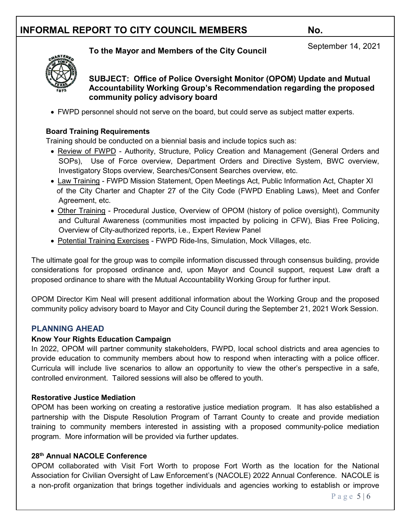**SUBJECT: Office of Police Oversight Monitor (OPOM) Update and Mutual** 

**Accountability Working Group's Recommendation regarding the proposed community policy advisory board**

**To the Mayor and Members of the City Council** September 14, 2021

• FWPD personnel should not serve on the board, but could serve as subject matter experts.

#### **Board Training Requirements**

Training should be conducted on a biennial basis and include topics such as:

- Review of FWPD Authority, Structure, Policy Creation and Management (General Orders and SOPs), Use of Force overview, Department Orders and Directive System, BWC overview, Investigatory Stops overview, Searches/Consent Searches overview, etc.
- Law Training FWPD Mission Statement, Open Meetings Act, Public Information Act, Chapter XI of the City Charter and Chapter 27 of the City Code (FWPD Enabling Laws), Meet and Confer Agreement, etc.
- Other Training Procedural Justice, Overview of OPOM (history of police oversight), Community and Cultural Awareness (communities most impacted by policing in CFW), Bias Free Policing, Overview of City-authorized reports, i.e., Expert Review Panel
- Potential Training Exercises FWPD Ride-Ins, Simulation, Mock Villages, etc.

The ultimate goal for the group was to compile information discussed through consensus building, provide considerations for proposed ordinance and, upon Mayor and Council support, request Law draft a proposed ordinance to share with the Mutual Accountability Working Group for further input.

OPOM Director Kim Neal will present additional information about the Working Group and the proposed community policy advisory board to Mayor and City Council during the September 21, 2021 Work Session.

### **PLANNING AHEAD**

#### **Know Your Rights Education Campaign**

In 2022, OPOM will partner community stakeholders, FWPD, local school districts and area agencies to provide education to community members about how to respond when interacting with a police officer. Curricula will include live scenarios to allow an opportunity to view the other's perspective in a safe, controlled environment. Tailored sessions will also be offered to youth.

#### **Restorative Justice Mediation**

OPOM has been working on creating a restorative justice mediation program. It has also established a partnership with the Dispute Resolution Program of Tarrant County to create and provide mediation training to community members interested in assisting with a proposed community-police mediation program. More information will be provided via further updates.

#### **28th Annual NACOLE Conference**

OPOM collaborated with Visit Fort Worth to propose Fort Worth as the location for the National Association for Civilian Oversight of Law Enforcement's (NACOLE) 2022 Annual Conference. NACOLE is a non-profit organization that brings together individuals and agencies working to establish or improve